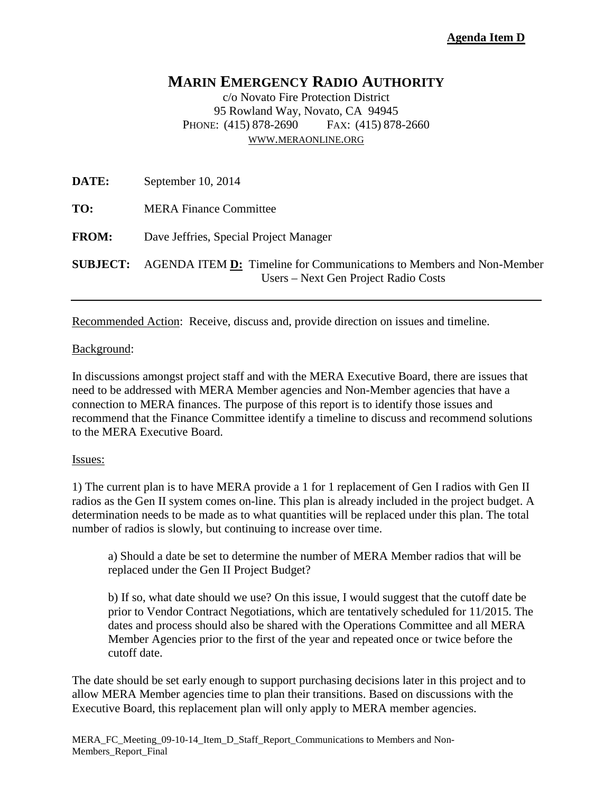# **MARIN EMERGENCY RADIO AUTHORITY**

c/o Novato Fire Protection District 95 Rowland Way, Novato, CA 94945 PHONE: (415) 878-2690 FAX: (415) 878-2660 [WWW.MERAONLINE.ORG](http://www.meraonline.org/)

| <b>DATE:</b> | September 10, 2014                                                                                                                  |
|--------------|-------------------------------------------------------------------------------------------------------------------------------------|
| TO:          | <b>MERA Finance Committee</b>                                                                                                       |
| <b>FROM:</b> | Dave Jeffries, Special Project Manager                                                                                              |
|              | <b>SUBJECT:</b> AGENDA ITEM <b>D:</b> Timeline for Communications to Members and Non-Member<br>Users – Next Gen Project Radio Costs |

Recommended Action: Receive, discuss and, provide direction on issues and timeline.

#### Background:

In discussions amongst project staff and with the MERA Executive Board, there are issues that need to be addressed with MERA Member agencies and Non-Member agencies that have a connection to MERA finances. The purpose of this report is to identify those issues and recommend that the Finance Committee identify a timeline to discuss and recommend solutions to the MERA Executive Board.

#### Issues:

1) The current plan is to have MERA provide a 1 for 1 replacement of Gen I radios with Gen II radios as the Gen II system comes on-line. This plan is already included in the project budget. A determination needs to be made as to what quantities will be replaced under this plan. The total number of radios is slowly, but continuing to increase over time.

a) Should a date be set to determine the number of MERA Member radios that will be replaced under the Gen II Project Budget?

b) If so, what date should we use? On this issue, I would suggest that the cutoff date be prior to Vendor Contract Negotiations, which are tentatively scheduled for 11/2015. The dates and process should also be shared with the Operations Committee and all MERA Member Agencies prior to the first of the year and repeated once or twice before the cutoff date.

The date should be set early enough to support purchasing decisions later in this project and to allow MERA Member agencies time to plan their transitions. Based on discussions with the Executive Board, this replacement plan will only apply to MERA member agencies.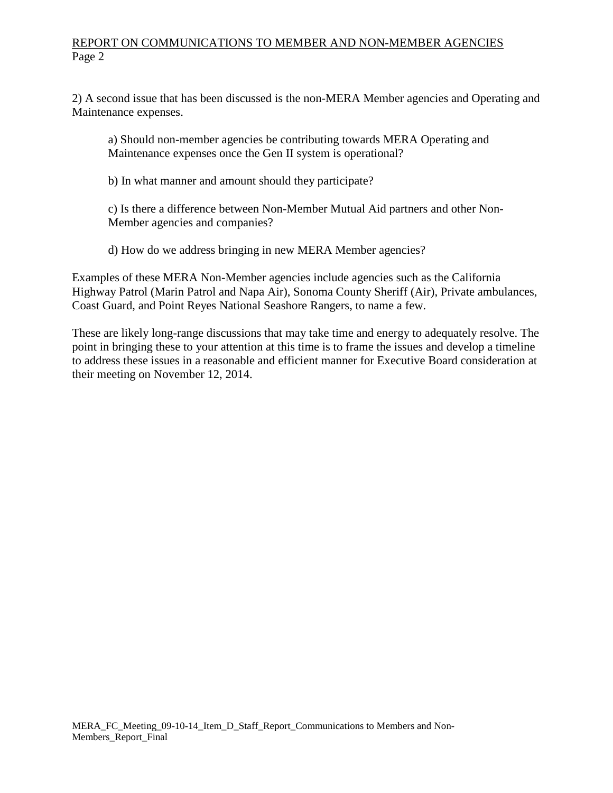## REPORT ON COMMUNICATIONS TO MEMBER AND NON-MEMBER AGENCIES Page 2

2) A second issue that has been discussed is the non-MERA Member agencies and Operating and Maintenance expenses.

a) Should non-member agencies be contributing towards MERA Operating and Maintenance expenses once the Gen II system is operational?

b) In what manner and amount should they participate?

c) Is there a difference between Non-Member Mutual Aid partners and other Non-Member agencies and companies?

d) How do we address bringing in new MERA Member agencies?

Examples of these MERA Non-Member agencies include agencies such as the California Highway Patrol (Marin Patrol and Napa Air), Sonoma County Sheriff (Air), Private ambulances, Coast Guard, and Point Reyes National Seashore Rangers, to name a few.

These are likely long-range discussions that may take time and energy to adequately resolve. The point in bringing these to your attention at this time is to frame the issues and develop a timeline to address these issues in a reasonable and efficient manner for Executive Board consideration at their meeting on November 12, 2014.